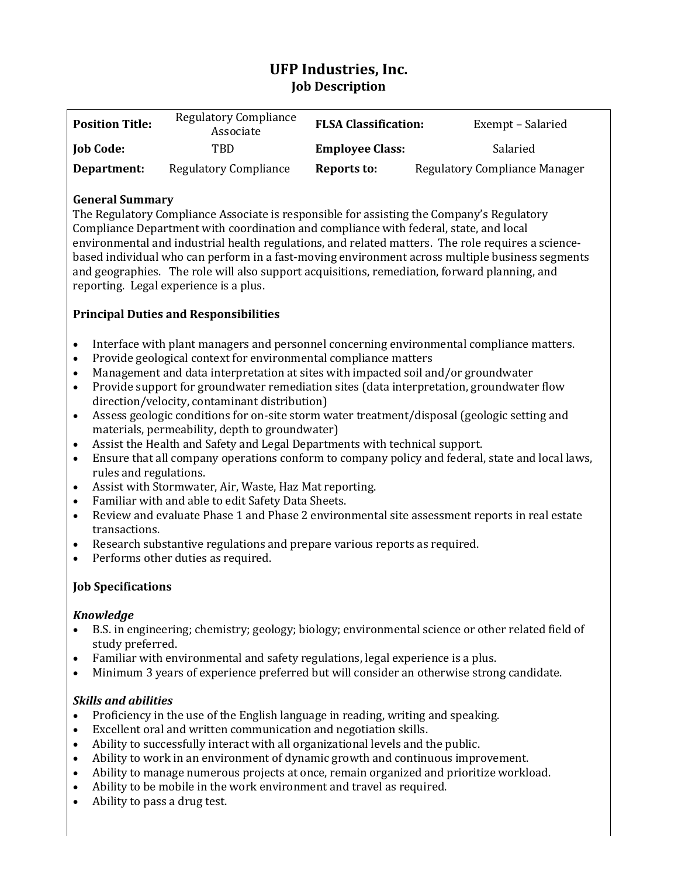# **UFP Industries, Inc. Job Description**

| <b>Position Title:</b> | <b>Regulatory Compliance</b><br>Associate | <b>FLSA Classification:</b> | Exempt – Salaried             |
|------------------------|-------------------------------------------|-----------------------------|-------------------------------|
| <b>Job Code:</b>       | TBD                                       | <b>Employee Class:</b>      | Salaried                      |
| Department:            | <b>Regulatory Compliance</b>              | Reports to:                 | Regulatory Compliance Manager |

## **General Summary**

The Regulatory Compliance Associate is responsible for assisting the Company's Regulatory Compliance Department with coordination and compliance with federal, state, and local environmental and industrial health regulations, and related matters. The role requires a sciencebased individual who can perform in a fast-moving environment across multiple business segments and geographies. The role will also support acquisitions, remediation, forward planning, and reporting. Legal experience is a plus.

## **Principal Duties and Responsibilities**

- Interface with plant managers and personnel concerning environmental compliance matters.
- Provide geological context for environmental compliance matters
- Management and data interpretation at sites with impacted soil and/or groundwater
- Provide support for groundwater remediation sites (data interpretation, groundwater flow direction/velocity, contaminant distribution)
- Assess geologic conditions for on-site storm water treatment/disposal (geologic setting and materials, permeability, depth to groundwater)
- Assist the Health and Safety and Legal Departments with technical support.
- Ensure that all company operations conform to company policy and federal, state and local laws, rules and regulations.
- Assist with Stormwater, Air, Waste, Haz Mat reporting.
- Familiar with and able to edit Safety Data Sheets.
- Review and evaluate Phase 1 and Phase 2 environmental site assessment reports in real estate transactions.
- Research substantive regulations and prepare various reports as required.
- Performs other duties as required.

## **Job Specifications**

#### *Knowledge*

- B.S. in engineering; chemistry; geology; biology; environmental science or other related field of study preferred.
- Familiar with environmental and safety regulations, legal experience is a plus.
- Minimum 3 years of experience preferred but will consider an otherwise strong candidate.

## *Skills and abilities*

- Proficiency in the use of the English language in reading, writing and speaking.
- Excellent oral and written communication and negotiation skills.
- Ability to successfully interact with all organizational levels and the public.
- Ability to work in an environment of dynamic growth and continuous improvement.
- Ability to manage numerous projects at once, remain organized and prioritize workload.
- Ability to be mobile in the work environment and travel as required.
- Ability to pass a drug test.